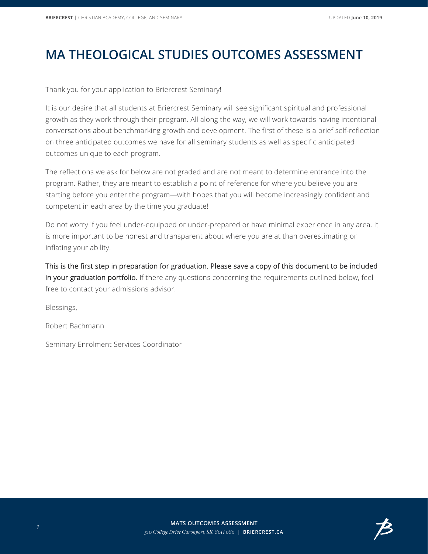## **MA THEOLOGICAL STUDIES OUTCOMES ASSESSMENT**

Thank you for your application to Briercrest Seminary!

It is our desire that all students at Briercrest Seminary will see significant spiritual and professional growth as they work through their program. All along the way, we will work towards having intentional conversations about benchmarking growth and development. The first of these is a brief self-reflection on three anticipated outcomes we have for all seminary students as well as specific anticipated outcomes unique to each program.

The reflections we ask for below are not graded and are not meant to determine entrance into the program. Rather, they are meant to establish a point of reference for where you believe you are starting before you enter the program—with hopes that you will become increasingly confident and competent in each area by the time you graduate!

Do not worry if you feel under-equipped or under-prepared or have minimal experience in any area. It is more important to be honest and transparent about where you are at than overestimating or inflating your ability.

This is the first step in preparation for graduation. Please save a copy of this document to be included in your graduation portfolio. If there any questions concerning the requirements outlined below, feel free to contact your admissions advisor.

Blessings,

Robert Bachmann

Seminary Enrolment Services Coordinator

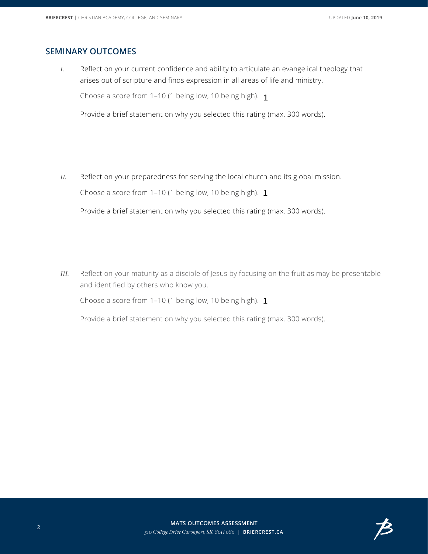## **SEMINARY OUTCOMES**

*I.* Reflect on your current confidence and ability to articulate an evangelical theology that arises out of scripture and finds expression in all areas of life and ministry.

Choose a score from 1–10 (1 being low, 10 being high). 1



Provide a brief statement on why you selected this rating (max. 300 words).

*II.* Reflect on your preparedness for serving the local church and its global mission.

Choose a score from 1–10 (1 being low, 10 being high). 1

 $\left| \rule{0pt}{10pt} \right.$ 

Provide a brief statement on why you selected this rating (max. 300 words).

*III.* Reflect on your maturity as a disciple of Jesus by focusing on the fruit as may be presentable and identified by others who know you.

Choose a score from 1–10 (1 being low, 10 being high). 1



Provide a brief statement on why you selected this rating (max. 300 words).